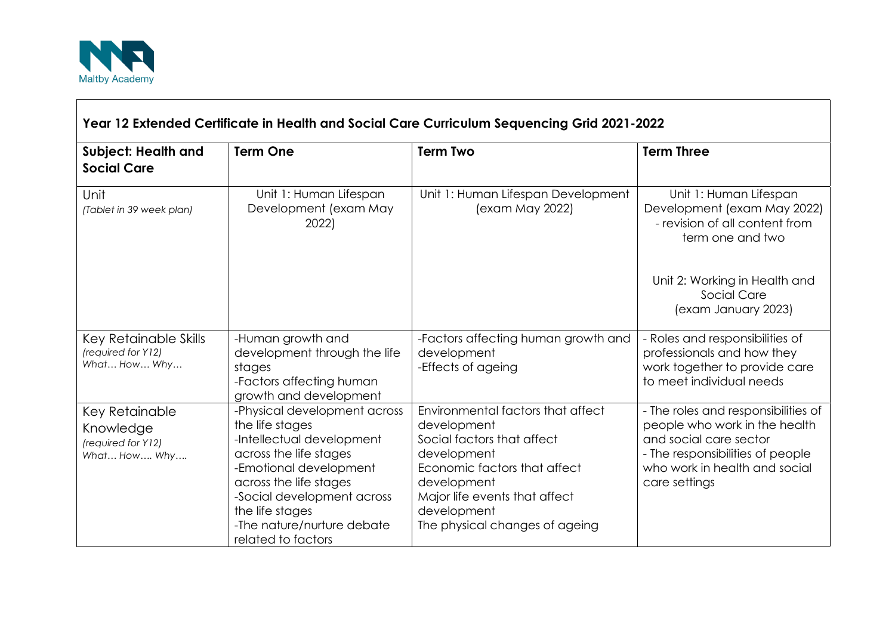

 $\blacksquare$ 

| Year 12 Extended Certificate in Health and Social Care Curriculum Sequencing Grid 2021-2022 |                                                                                                                                                                                                                                                                 |                                                                                                                                                                                                                                |                                                                                                                                                                                      |  |
|---------------------------------------------------------------------------------------------|-----------------------------------------------------------------------------------------------------------------------------------------------------------------------------------------------------------------------------------------------------------------|--------------------------------------------------------------------------------------------------------------------------------------------------------------------------------------------------------------------------------|--------------------------------------------------------------------------------------------------------------------------------------------------------------------------------------|--|
| <b>Subject: Health and</b><br><b>Social Care</b>                                            | <b>Term One</b>                                                                                                                                                                                                                                                 | <b>Term Two</b>                                                                                                                                                                                                                | <b>Term Three</b>                                                                                                                                                                    |  |
| Unit<br>(Tablet in 39 week plan)                                                            | Unit 1: Human Lifespan<br>Development (exam May<br>2022)                                                                                                                                                                                                        | Unit 1: Human Lifespan Development<br>(exam May 2022)                                                                                                                                                                          | Unit 1: Human Lifespan<br>Development (exam May 2022)<br>- revision of all content from<br>term one and two                                                                          |  |
|                                                                                             |                                                                                                                                                                                                                                                                 |                                                                                                                                                                                                                                | Unit 2: Working in Health and<br>Social Care<br>(exam January 2023)                                                                                                                  |  |
| Key Retainable Skills<br>(required for Y12)<br>What How Why                                 | -Human growth and<br>development through the life<br>stages<br>-Factors affecting human<br>growth and development                                                                                                                                               | -Factors affecting human growth and<br>development<br>-Effects of ageing                                                                                                                                                       | - Roles and responsibilities of<br>professionals and how they<br>work together to provide care<br>to meet individual needs                                                           |  |
| Key Retainable<br>Knowledge<br>(required for Y12)<br>What How Why                           | -Physical development across<br>the life stages<br>-Intellectual development<br>across the life stages<br>-Emotional development<br>across the life stages<br>-Social development across<br>the life stages<br>-The nature/nurture debate<br>related to factors | Environmental factors that affect<br>development<br>Social factors that affect<br>development<br>Economic factors that affect<br>development<br>Major life events that affect<br>development<br>The physical changes of ageing | - The roles and responsibilities of<br>people who work in the health<br>and social care sector<br>- The responsibilities of people<br>who work in health and social<br>care settings |  |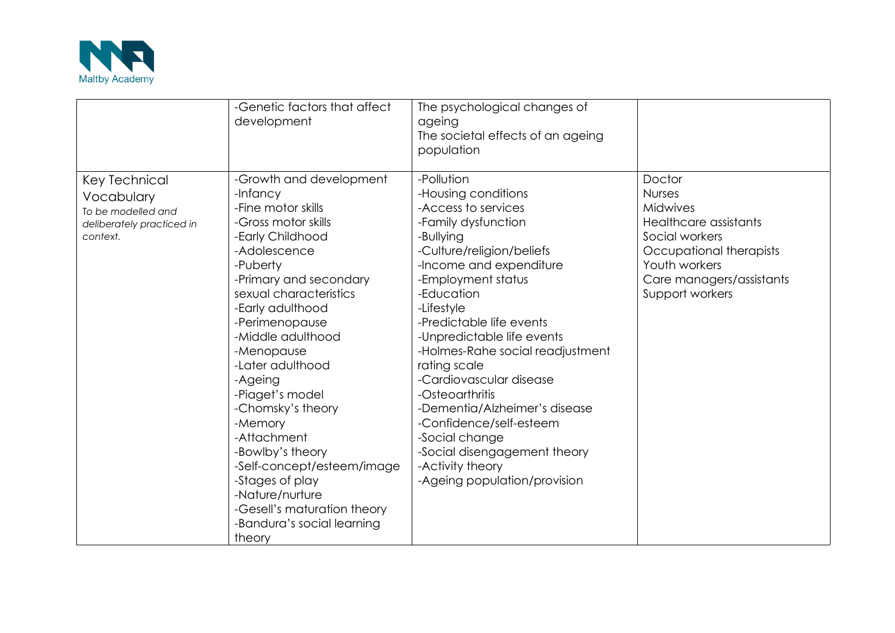

|                                                                                            | -Genetic factors that affect<br>development                                                                                                                                                                                                                                                                                                                                                                                                                                                                                   | The psychological changes of<br>ageing<br>The societal effects of an ageing<br>population                                                                                                                                                                                                                                                                                                                                                                                                                                            |                                                                                                                                                                                  |
|--------------------------------------------------------------------------------------------|-------------------------------------------------------------------------------------------------------------------------------------------------------------------------------------------------------------------------------------------------------------------------------------------------------------------------------------------------------------------------------------------------------------------------------------------------------------------------------------------------------------------------------|--------------------------------------------------------------------------------------------------------------------------------------------------------------------------------------------------------------------------------------------------------------------------------------------------------------------------------------------------------------------------------------------------------------------------------------------------------------------------------------------------------------------------------------|----------------------------------------------------------------------------------------------------------------------------------------------------------------------------------|
| Key Technical<br>Vocabulary<br>To be modelled and<br>deliberately practiced in<br>context. | -Growth and development<br>-Infancy<br>-Fine motor skills<br>-Gross motor skills<br>-Early Childhood<br>-Adolescence<br>-Puberty<br>-Primary and secondary<br>sexual characteristics<br>-Early adulthood<br>-Perimenopause<br>-Middle adulthood<br>-Menopause<br>-Later adulthood<br>-Ageing<br>-Piaget's model<br>-Chomsky's theory<br>-Memory<br>-Attachment<br>-Bowlby's theory<br>-Self-concept/esteem/image<br>-Stages of play<br>-Nature/nurture<br>-Gesell's maturation theory<br>-Bandura's social learning<br>theory | -Pollution<br>-Housing conditions<br>-Access to services<br>-Family dysfunction<br>-Bullying<br>-Culture/religion/beliefs<br>-Income and expenditure<br>-Employment status<br>-Education<br>-Lifestyle<br>-Predictable life events<br>-Unpredictable life events<br>-Holmes-Rahe social readjustment<br>rating scale<br>-Cardiovascular disease<br>-Osteoarthritis<br>-Dementia/Alzheimer's disease<br>-Confidence/self-esteem<br>-Social change<br>-Social disengagement theory<br>-Activity theory<br>-Ageing population/provision | Doctor<br><b>Nurses</b><br><b>Midwives</b><br>Healthcare assistants<br>Social workers<br>Occupational therapists<br>Youth workers<br>Care managers/assistants<br>Support workers |